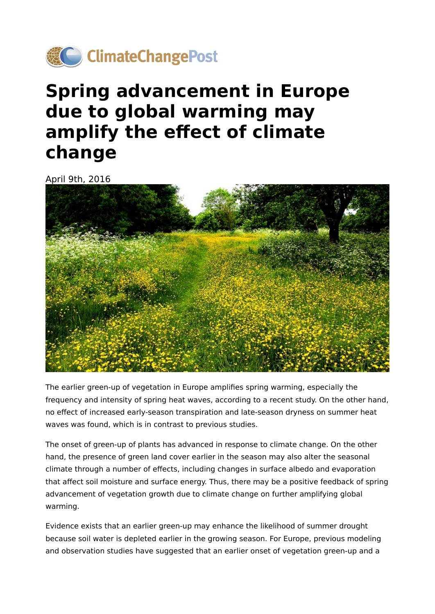

## **Spring advancement in Europe due to global warming may amplify the effect of climate change**

April 9th, 2016



The earlier green-up of vegetation in Europe amplifies spring warming, especially the frequency and intensity of spring heat waves, according to a recent study. On the other hand, no effect of increased early-season transpiration and late-season dryness on summer heat waves was found, which is in contrast to previous studies.

The onset of green-up of plants has advanced in response to climate change. On the other hand, the presence of green land cover earlier in the season may also alter the seasonal climate through a number of effects, including changes in surface albedo and evaporation that affect soil moisture and surface energy. Thus, there may be a positive feedback of spring advancement of vegetation growth due to climate change on further amplifying global warming.

Evidence exists that an earlier green-up may enhance the likelihood of summer drought because soil water is depleted earlier in the growing season. For Europe, previous modeling and observation studies have suggested that an earlier onset of vegetation green-up and a